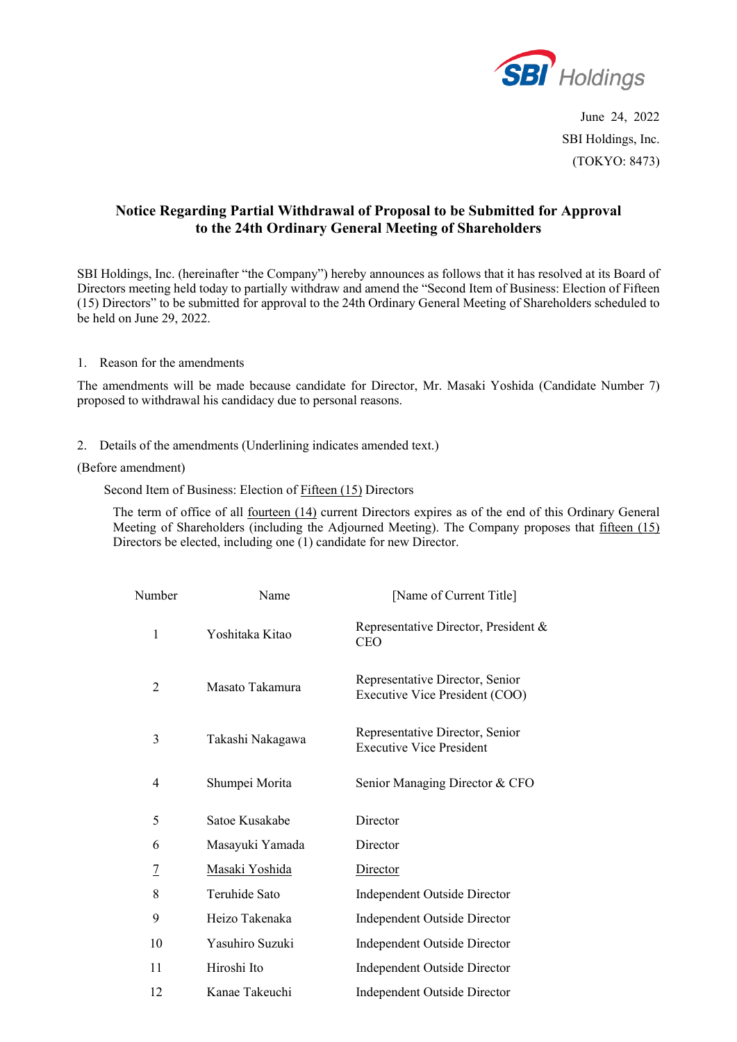

 June 24, 2022 SBI Holdings, Inc. (TOKYO: 8473)

# **Notice Regarding Partial Withdrawal of Proposal to be Submitted for Approval to the 24th Ordinary General Meeting of Shareholders**

SBI Holdings, Inc. (hereinafter "the Company") hereby announces as follows that it has resolved at its Board of Directors meeting held today to partially withdraw and amend the "Second Item of Business: Election of Fifteen (15) Directors" to be submitted for approval to the 24th Ordinary General Meeting of Shareholders scheduled to be held on June 29, 2022.

### 1. Reason for the amendments

The amendments will be made because candidate for Director, Mr. Masaki Yoshida (Candidate Number 7) proposed to withdrawal his candidacy due to personal reasons.

## 2. Details of the amendments (Underlining indicates amended text.)

### (Before amendment)

Second Item of Business: Election of Fifteen (15) Directors

The term of office of all <u>fourteen</u> (14) current Directors expires as of the end of this Ordinary General Meeting of Shareholders (including the Adjourned Meeting). The Company proposes that fifteen (15) Directors be elected, including one (1) candidate for new Director.

| Number                   | Name             | [Name of Current Title]                                            |
|--------------------------|------------------|--------------------------------------------------------------------|
| 1                        | Yoshitaka Kitao  | Representative Director, President &<br>CEO                        |
| 2                        | Masato Takamura  | Representative Director, Senior<br>Executive Vice President (COO)  |
| 3                        | Takashi Nakagawa | Representative Director, Senior<br><b>Executive Vice President</b> |
| 4                        | Shumpei Morita   | Senior Managing Director & CFO                                     |
| 5                        | Satoe Kusakabe   | Director                                                           |
| 6                        | Masayuki Yamada  | Director                                                           |
| $\overline{\mathcal{I}}$ | Masaki Yoshida   | Director                                                           |
| 8                        | Teruhide Sato    | Independent Outside Director                                       |
| 9                        | Heizo Takenaka   | Independent Outside Director                                       |
| 10                       | Yasuhiro Suzuki  | Independent Outside Director                                       |
| 11                       | Hiroshi Ito      | Independent Outside Director                                       |
| 12                       | Kanae Takeuchi   | Independent Outside Director                                       |